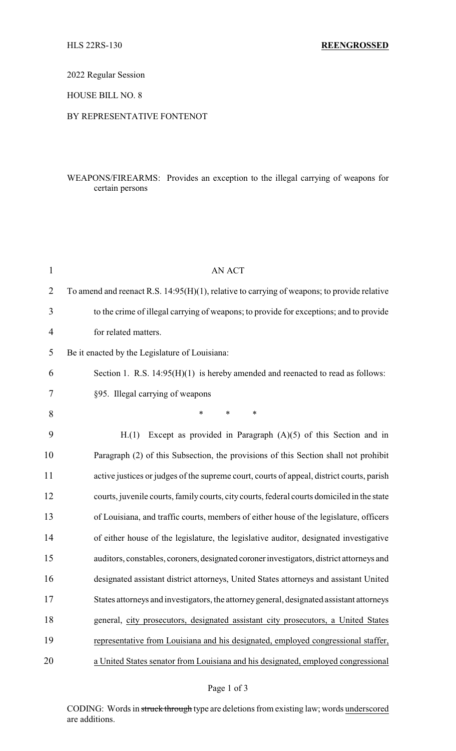2022 Regular Session

HOUSE BILL NO. 8

## BY REPRESENTATIVE FONTENOT

## WEAPONS/FIREARMS: Provides an exception to the illegal carrying of weapons for certain persons

| $\mathbf{1}$ | <b>AN ACT</b>                                                                                  |
|--------------|------------------------------------------------------------------------------------------------|
| 2            | To amend and reenact R.S. $14:95(H)(1)$ , relative to carrying of weapons; to provide relative |
| 3            | to the crime of illegal carrying of weapons; to provide for exceptions; and to provide         |
| 4            | for related matters.                                                                           |
| 5            | Be it enacted by the Legislature of Louisiana:                                                 |
| 6            | Section 1. R.S. $14:95(H)(1)$ is hereby amended and reenacted to read as follows:              |
| 7            | §95. Illegal carrying of weapons                                                               |
| 8            | $\ast$<br>$\ast$<br>*                                                                          |
| 9            | Except as provided in Paragraph $(A)(5)$ of this Section and in<br>H(1)                        |
| 10           | Paragraph (2) of this Subsection, the provisions of this Section shall not prohibit            |
| 11           | active justices or judges of the supreme court, courts of appeal, district courts, parish      |
| 12           | courts, juvenile courts, family courts, city courts, federal courts domiciled in the state     |
| 13           | of Louisiana, and traffic courts, members of either house of the legislature, officers         |
| 14           | of either house of the legislature, the legislative auditor, designated investigative          |
| 15           | auditors, constables, coroners, designated coroner investigators, district attorneys and       |
| 16           | designated assistant district attorneys, United States attorneys and assistant United          |
| 17           | States attorneys and investigators, the attorney general, designated assistant attorneys       |
| 18           | general, city prosecutors, designated assistant city prosecutors, a United States              |
| 19           | representative from Louisiana and his designated, employed congressional staffer,              |
| 20           | a United States senator from Louisiana and his designated, employed congressional              |

CODING: Words in struck through type are deletions from existing law; words underscored are additions.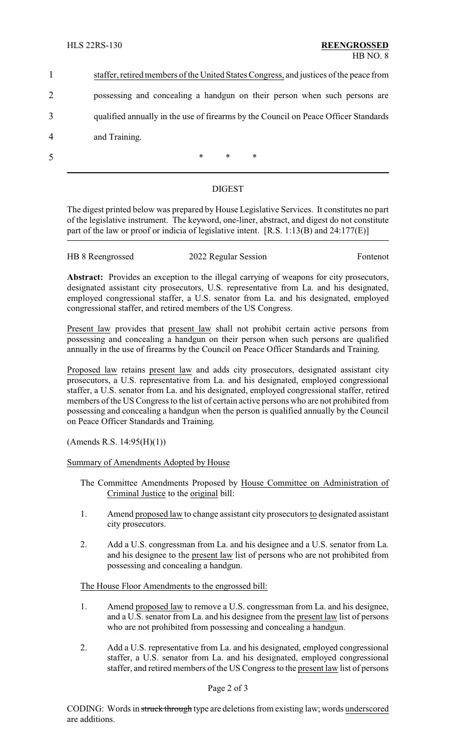|                | staffer, retired members of the United States Congress, and justices of the peace from |
|----------------|----------------------------------------------------------------------------------------|
| 2              | possessing and concealing a handgun on their person when such persons are              |
| 3              | qualified annually in the use of firearms by the Council on Peace Officer Standards    |
| $\overline{4}$ | and Training.                                                                          |
| 5              | $\ast$<br>$\ast$<br>$\ast$                                                             |

## DIGEST

The digest printed below was prepared by House Legislative Services. It constitutes no part of the legislative instrument. The keyword, one-liner, abstract, and digest do not constitute part of the law or proof or indicia of legislative intent. [R.S. 1:13(B) and 24:177(E)]

| HB 8 Reengrossed | 2022 Regular Session | Fontenot |
|------------------|----------------------|----------|
|------------------|----------------------|----------|

**Abstract:** Provides an exception to the illegal carrying of weapons for city prosecutors, designated assistant city prosecutors, U.S. representative from La. and his designated, employed congressional staffer, a U.S. senator from La. and his designated, employed congressional staffer, and retired members of the US Congress.

Present law provides that present law shall not prohibit certain active persons from possessing and concealing a handgun on their person when such persons are qualified annually in the use of firearms by the Council on Peace Officer Standards and Training.

Proposed law retains present law and adds city prosecutors, designated assistant city prosecutors, a U.S. representative from La. and his designated, employed congressional staffer, a U.S. senator from La. and his designated, employed congressional staffer, retired members of the US Congress to the list of certain active persons who are not prohibited from possessing and concealing a handgun when the person is qualified annually by the Council on Peace Officer Standards and Training.

(Amends R.S. 14:95(H)(1))

Summary of Amendments Adopted by House

- The Committee Amendments Proposed by House Committee on Administration of Criminal Justice to the original bill:
- 1. Amend proposed law to change assistant city prosecutors to designated assistant city prosecutors.
- 2. Add a U.S. congressman from La. and his designee and a U.S. senator from La. and his designee to the present law list of persons who are not prohibited from possessing and concealing a handgun.

The House Floor Amendments to the engrossed bill:

- 1. Amend proposed law to remove a U.S. congressman from La. and his designee, and a U.S. senator from La. and his designee from the present law list of persons who are not prohibited from possessing and concealing a handgun.
- 2. Add a U.S. representative from La. and his designated, employed congressional staffer, a U.S. senator from La. and his designated, employed congressional staffer, and retired members of the US Congress to the present law list of persons